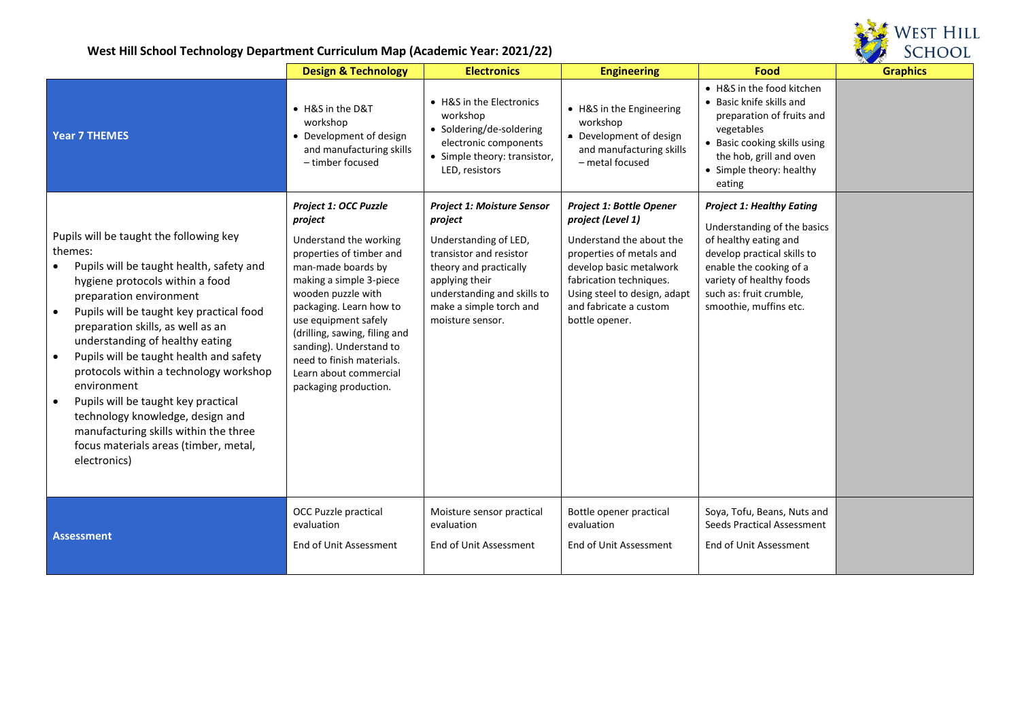

|                                                                                                                                                                                                                                                                                                                                                                                                                                                                                                                                                                                                          | <b>Design &amp; Technology</b>                                                                                                                                                                                                                                                                                                                               | <b>Electronics</b>                                                                                                                                                                                                         | <b>Engineering</b>                                                                                                                                                                                                                             | Food                                                                                                                                                                                                                                | $\begin{array}{c} \nabla \times \mathbf{1} & \mathbf{1} \times \mathbf{1} \nabla \times \mathbf{1} \nabla \times \mathbf{1} \nabla \times \mathbf{1} \nabla \times \mathbf{1} \nabla \times \mathbf{1} \nabla \times \mathbf{1} \nabla \times \mathbf{1} \nabla \times \mathbf{1} \nabla \times \mathbf{1} \nabla \times \mathbf{1} \nabla \times \mathbf{1} \nabla \times \mathbf{1} \nabla \times \mathbf{1} \nabla \times \mathbf{1} \nabla \times \mathbf{1} \nabla \times$<br><b>Graphics</b> |
|----------------------------------------------------------------------------------------------------------------------------------------------------------------------------------------------------------------------------------------------------------------------------------------------------------------------------------------------------------------------------------------------------------------------------------------------------------------------------------------------------------------------------------------------------------------------------------------------------------|--------------------------------------------------------------------------------------------------------------------------------------------------------------------------------------------------------------------------------------------------------------------------------------------------------------------------------------------------------------|----------------------------------------------------------------------------------------------------------------------------------------------------------------------------------------------------------------------------|------------------------------------------------------------------------------------------------------------------------------------------------------------------------------------------------------------------------------------------------|-------------------------------------------------------------------------------------------------------------------------------------------------------------------------------------------------------------------------------------|----------------------------------------------------------------------------------------------------------------------------------------------------------------------------------------------------------------------------------------------------------------------------------------------------------------------------------------------------------------------------------------------------------------------------------------------------------------------------------------------------|
| <b>Year 7 THEMES</b>                                                                                                                                                                                                                                                                                                                                                                                                                                                                                                                                                                                     | • H&S in the D&T<br>workshop<br>• Development of design<br>and manufacturing skills<br>- timber focused                                                                                                                                                                                                                                                      | • H&S in the Electronics<br>workshop<br>• Soldering/de-soldering<br>electronic components<br>• Simple theory: transistor,<br>LED, resistors                                                                                | • H&S in the Engineering<br>workshop<br>• Development of design<br>and manufacturing skills<br>- metal focused                                                                                                                                 | • H&S in the food kitchen<br>• Basic knife skills and<br>preparation of fruits and<br>vegetables<br>• Basic cooking skills using<br>the hob, grill and oven<br>• Simple theory: healthy<br>eating                                   |                                                                                                                                                                                                                                                                                                                                                                                                                                                                                                    |
| Pupils will be taught the following key<br>themes:<br>Pupils will be taught health, safety and<br>hygiene protocols within a food<br>preparation environment<br>Pupils will be taught key practical food<br>$\bullet$<br>preparation skills, as well as an<br>understanding of healthy eating<br>Pupils will be taught health and safety<br>$\bullet$<br>protocols within a technology workshop<br>environment<br>Pupils will be taught key practical<br>$\bullet$<br>technology knowledge, design and<br>manufacturing skills within the three<br>focus materials areas (timber, metal,<br>electronics) | Project 1: OCC Puzzle<br>project<br>Understand the working<br>properties of timber and<br>man-made boards by<br>making a simple 3-piece<br>wooden puzzle with<br>packaging. Learn how to<br>use equipment safely<br>(drilling, sawing, filing and<br>sanding). Understand to<br>need to finish materials.<br>Learn about commercial<br>packaging production. | <b>Project 1: Moisture Sensor</b><br>project<br>Understanding of LED,<br>transistor and resistor<br>theory and practically<br>applying their<br>understanding and skills to<br>make a simple torch and<br>moisture sensor. | <b>Project 1: Bottle Opener</b><br>project (Level 1)<br>Understand the about the<br>properties of metals and<br>develop basic metalwork<br>fabrication techniques.<br>Using steel to design, adapt<br>and fabricate a custom<br>bottle opener. | <b>Project 1: Healthy Eating</b><br>Understanding of the basics<br>of healthy eating and<br>develop practical skills to<br>enable the cooking of a<br>variety of healthy foods<br>such as: fruit crumble,<br>smoothie, muffins etc. |                                                                                                                                                                                                                                                                                                                                                                                                                                                                                                    |
| <b>Assessment</b>                                                                                                                                                                                                                                                                                                                                                                                                                                                                                                                                                                                        | <b>OCC Puzzle practical</b><br>evaluation<br>End of Unit Assessment                                                                                                                                                                                                                                                                                          | Moisture sensor practical<br>evaluation<br>End of Unit Assessment                                                                                                                                                          | Bottle opener practical<br>evaluation<br>End of Unit Assessment                                                                                                                                                                                | Soya, Tofu, Beans, Nuts and<br>Seeds Practical Assessment<br>End of Unit Assessment                                                                                                                                                 |                                                                                                                                                                                                                                                                                                                                                                                                                                                                                                    |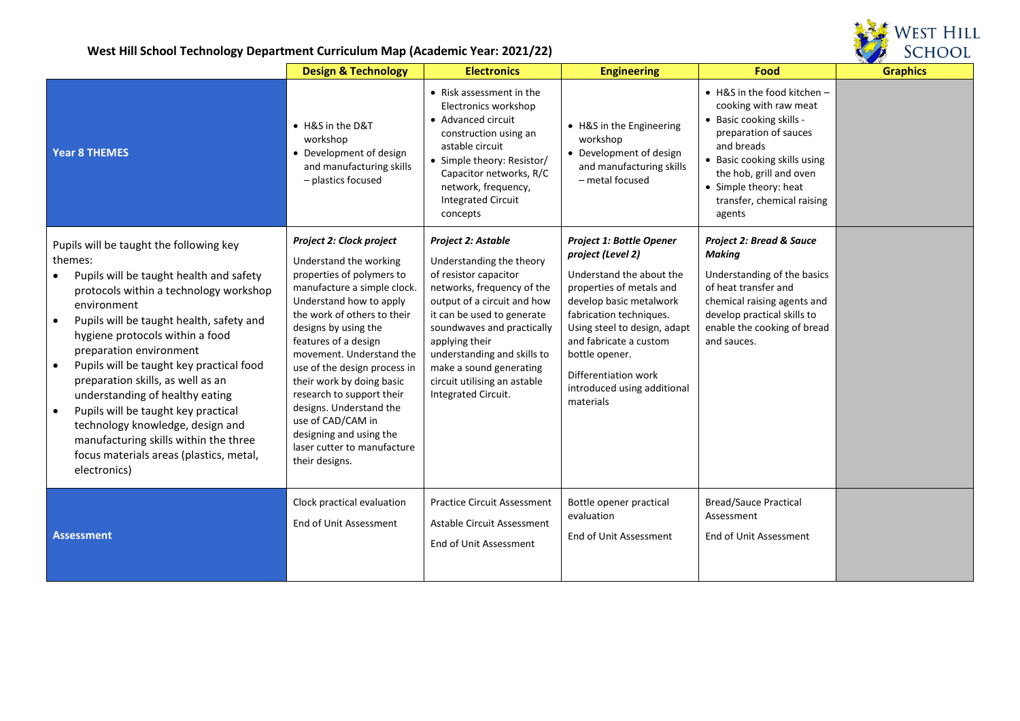

|                                                                                                                                                                                                                                                                                                                                                                                                                                                                                                                                                                                               | <b>Design &amp; Technology</b>                                                                                                                                                                                                                                                                                                                                                                                                                                             | <b>Electronics</b>                                                                                                                                                                                                                                                                                                                  | <b>Engineering</b>                                                                                                                                                                                                                                                                                          | Food                                                                                                                                                                                                                                                | <b>Graphics</b> |
|-----------------------------------------------------------------------------------------------------------------------------------------------------------------------------------------------------------------------------------------------------------------------------------------------------------------------------------------------------------------------------------------------------------------------------------------------------------------------------------------------------------------------------------------------------------------------------------------------|----------------------------------------------------------------------------------------------------------------------------------------------------------------------------------------------------------------------------------------------------------------------------------------------------------------------------------------------------------------------------------------------------------------------------------------------------------------------------|-------------------------------------------------------------------------------------------------------------------------------------------------------------------------------------------------------------------------------------------------------------------------------------------------------------------------------------|-------------------------------------------------------------------------------------------------------------------------------------------------------------------------------------------------------------------------------------------------------------------------------------------------------------|-----------------------------------------------------------------------------------------------------------------------------------------------------------------------------------------------------------------------------------------------------|-----------------|
| <b>Year 8 THEMES</b>                                                                                                                                                                                                                                                                                                                                                                                                                                                                                                                                                                          | • H&S in the D&T<br>workshop<br>• Development of design<br>and manufacturing skills<br>- plastics focused                                                                                                                                                                                                                                                                                                                                                                  | • Risk assessment in the<br>Electronics workshop<br>• Advanced circuit<br>construction using an<br>astable circuit<br>• Simple theory: Resistor/<br>Capacitor networks, R/C<br>network, frequency,<br><b>Integrated Circuit</b><br>concepts                                                                                         | • H&S in the Engineering<br>workshop<br>• Development of design<br>and manufacturing skills<br>- metal focused                                                                                                                                                                                              | • H&S in the food kitchen -<br>cooking with raw meat<br>• Basic cooking skills -<br>preparation of sauces<br>and breads<br>• Basic cooking skills using<br>the hob, grill and oven<br>• Simple theory: heat<br>transfer, chemical raising<br>agents |                 |
| Pupils will be taught the following key<br>themes:<br>Pupils will be taught health and safety<br>protocols within a technology workshop<br>environment<br>Pupils will be taught health, safety and<br>$\bullet$<br>hygiene protocols within a food<br>preparation environment<br>Pupils will be taught key practical food<br>preparation skills, as well as an<br>understanding of healthy eating<br>Pupils will be taught key practical<br>$\bullet$<br>technology knowledge, design and<br>manufacturing skills within the three<br>focus materials areas (plastics, metal,<br>electronics) | Project 2: Clock project<br>Understand the working<br>properties of polymers to<br>manufacture a simple clock.<br>Understand how to apply<br>the work of others to their<br>designs by using the<br>features of a design<br>movement. Understand the<br>use of the design process in<br>their work by doing basic<br>research to support their<br>designs. Understand the<br>use of CAD/CAM in<br>designing and using the<br>laser cutter to manufacture<br>their designs. | Project 2: Astable<br>Understanding the theory<br>of resistor capacitor<br>networks, frequency of the<br>output of a circuit and how<br>it can be used to generate<br>soundwaves and practically<br>applying their<br>understanding and skills to<br>make a sound generating<br>circuit utilising an astable<br>Integrated Circuit. | Project 1: Bottle Opener<br>project (Level 2)<br>Understand the about the<br>properties of metals and<br>develop basic metalwork<br>fabrication techniques.<br>Using steel to design, adapt<br>and fabricate a custom<br>bottle opener.<br>Differentiation work<br>introduced using additional<br>materials | <b>Project 2: Bread &amp; Sauce</b><br><b>Making</b><br>Understanding of the basics<br>of heat transfer and<br>chemical raising agents and<br>develop practical skills to<br>enable the cooking of bread<br>and sauces.                             |                 |
| <b>Assessment</b>                                                                                                                                                                                                                                                                                                                                                                                                                                                                                                                                                                             | Clock practical evaluation<br>End of Unit Assessment                                                                                                                                                                                                                                                                                                                                                                                                                       | <b>Practice Circuit Assessment</b><br>Astable Circuit Assessment<br>End of Unit Assessment                                                                                                                                                                                                                                          | Bottle opener practical<br>evaluation<br>End of Unit Assessment                                                                                                                                                                                                                                             | <b>Bread/Sauce Practical</b><br>Assessment<br>End of Unit Assessment                                                                                                                                                                                |                 |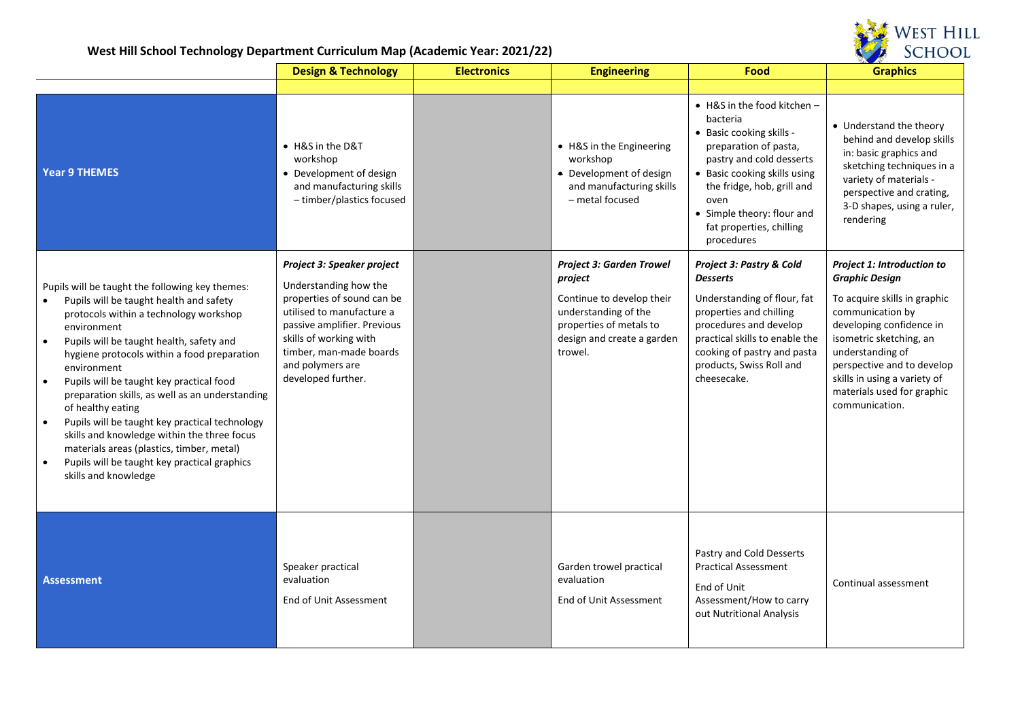

|                                                                                                                                                                                                                                                                                                                                                                                                                                                                                                                                                                                                                                                | <b>Design &amp; Technology</b>                                                                                                                                                                                                               | <b>Electronics</b> | <b>Engineering</b>                                                                                                                                                  | Food                                                                                                                                                                                                                                                                           | <b>Graphics</b>                                                                                                                                                                                                                                                                                  |
|------------------------------------------------------------------------------------------------------------------------------------------------------------------------------------------------------------------------------------------------------------------------------------------------------------------------------------------------------------------------------------------------------------------------------------------------------------------------------------------------------------------------------------------------------------------------------------------------------------------------------------------------|----------------------------------------------------------------------------------------------------------------------------------------------------------------------------------------------------------------------------------------------|--------------------|---------------------------------------------------------------------------------------------------------------------------------------------------------------------|--------------------------------------------------------------------------------------------------------------------------------------------------------------------------------------------------------------------------------------------------------------------------------|--------------------------------------------------------------------------------------------------------------------------------------------------------------------------------------------------------------------------------------------------------------------------------------------------|
|                                                                                                                                                                                                                                                                                                                                                                                                                                                                                                                                                                                                                                                |                                                                                                                                                                                                                                              |                    |                                                                                                                                                                     |                                                                                                                                                                                                                                                                                |                                                                                                                                                                                                                                                                                                  |
| <b>Year 9 THEMES</b>                                                                                                                                                                                                                                                                                                                                                                                                                                                                                                                                                                                                                           | • H&S in the D&T<br>workshop<br>• Development of design<br>and manufacturing skills<br>- timber/plastics focused                                                                                                                             |                    | • H&S in the Engineering<br>workshop<br>• Development of design<br>and manufacturing skills<br>- metal focused                                                      | $\bullet$ H&S in the food kitchen -<br>bacteria<br>• Basic cooking skills -<br>preparation of pasta,<br>pastry and cold desserts<br>• Basic cooking skills using<br>the fridge, hob, grill and<br>oven<br>• Simple theory: flour and<br>fat properties, chilling<br>procedures | • Understand the theory<br>behind and develop skills<br>in: basic graphics and<br>sketching techniques in a<br>variety of materials -<br>perspective and crating,<br>3-D shapes, using a ruler,<br>rendering                                                                                     |
| Pupils will be taught the following key themes:<br>Pupils will be taught health and safety<br>protocols within a technology workshop<br>environment<br>Pupils will be taught health, safety and<br>$\bullet$<br>hygiene protocols within a food preparation<br>environment<br>Pupils will be taught key practical food<br>$\bullet$<br>preparation skills, as well as an understanding<br>of healthy eating<br>Pupils will be taught key practical technology<br>skills and knowledge within the three focus<br>materials areas (plastics, timber, metal)<br>Pupils will be taught key practical graphics<br>$\bullet$<br>skills and knowledge | Project 3: Speaker project<br>Understanding how the<br>properties of sound can be<br>utilised to manufacture a<br>passive amplifier. Previous<br>skills of working with<br>timber, man-made boards<br>and polymers are<br>developed further. |                    | <b>Project 3: Garden Trowel</b><br>project<br>Continue to develop their<br>understanding of the<br>properties of metals to<br>design and create a garden<br>trowel. | Project 3: Pastry & Cold<br><b>Desserts</b><br>Understanding of flour, fat<br>properties and chilling<br>procedures and develop<br>practical skills to enable the<br>cooking of pastry and pasta<br>products, Swiss Roll and<br>cheesecake.                                    | Project 1: Introduction to<br><b>Graphic Design</b><br>To acquire skills in graphic<br>communication by<br>developing confidence in<br>isometric sketching, an<br>understanding of<br>perspective and to develop<br>skills in using a variety of<br>materials used for graphic<br>communication. |
| <b>Assessment</b>                                                                                                                                                                                                                                                                                                                                                                                                                                                                                                                                                                                                                              | Speaker practical<br>evaluation<br>End of Unit Assessment                                                                                                                                                                                    |                    | Garden trowel practical<br>evaluation<br>End of Unit Assessment                                                                                                     | Pastry and Cold Desserts<br><b>Practical Assessment</b><br>End of Unit<br>Assessment/How to carry<br>out Nutritional Analysis                                                                                                                                                  | Continual assessment                                                                                                                                                                                                                                                                             |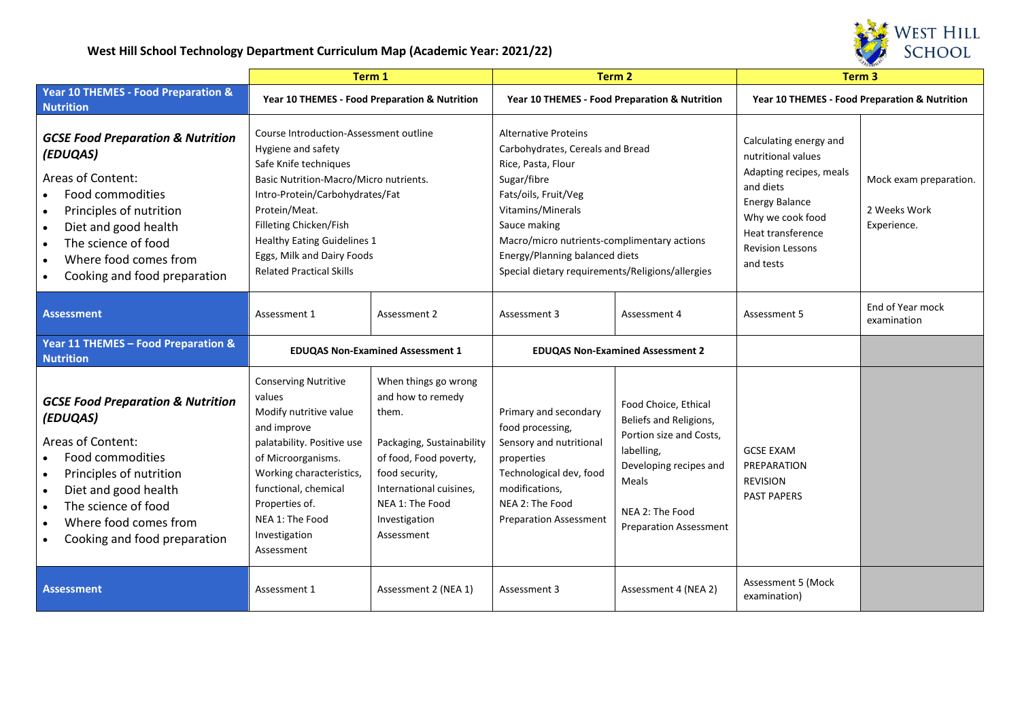

|                                                                                                                                                                                                                                      | Term 1                                                                                                                                                                                                                                                                                                               |                                                                                                                                                                                                          | Term <sub>2</sub>                                                                                                                                                                                                                                                                                      |                                                                                                                                                                                | Term <sub>3</sub>                                                                                                                                                                              |                                                       |
|--------------------------------------------------------------------------------------------------------------------------------------------------------------------------------------------------------------------------------------|----------------------------------------------------------------------------------------------------------------------------------------------------------------------------------------------------------------------------------------------------------------------------------------------------------------------|----------------------------------------------------------------------------------------------------------------------------------------------------------------------------------------------------------|--------------------------------------------------------------------------------------------------------------------------------------------------------------------------------------------------------------------------------------------------------------------------------------------------------|--------------------------------------------------------------------------------------------------------------------------------------------------------------------------------|------------------------------------------------------------------------------------------------------------------------------------------------------------------------------------------------|-------------------------------------------------------|
| Year 10 THEMES - Food Preparation &<br><b>Nutrition</b>                                                                                                                                                                              | Year 10 THEMES - Food Preparation & Nutrition                                                                                                                                                                                                                                                                        |                                                                                                                                                                                                          | Year 10 THEMES - Food Preparation & Nutrition                                                                                                                                                                                                                                                          |                                                                                                                                                                                | Year 10 THEMES - Food Preparation & Nutrition                                                                                                                                                  |                                                       |
| <b>GCSE Food Preparation &amp; Nutrition</b><br>(EDUQAS)<br>Areas of Content:<br>Food commodities<br>Principles of nutrition<br>Diet and good health<br>The science of food<br>Where food comes from<br>Cooking and food preparation | Course Introduction-Assessment outline<br>Hygiene and safety<br>Safe Knife techniques<br>Basic Nutrition-Macro/Micro nutrients.<br>Intro-Protein/Carbohydrates/Fat<br>Protein/Meat.<br>Filleting Chicken/Fish<br><b>Healthy Eating Guidelines 1</b><br>Eggs, Milk and Dairy Foods<br><b>Related Practical Skills</b> |                                                                                                                                                                                                          | <b>Alternative Proteins</b><br>Carbohydrates, Cereals and Bread<br>Rice, Pasta, Flour<br>Sugar/fibre<br>Fats/oils, Fruit/Veg<br>Vitamins/Minerals<br>Sauce making<br>Macro/micro nutrients-complimentary actions<br>Energy/Planning balanced diets<br>Special dietary requirements/Religions/allergies |                                                                                                                                                                                | Calculating energy and<br>nutritional values<br>Adapting recipes, meals<br>and diets<br><b>Energy Balance</b><br>Why we cook food<br>Heat transference<br><b>Revision Lessons</b><br>and tests | Mock exam preparation.<br>2 Weeks Work<br>Experience. |
| <b>Assessment</b>                                                                                                                                                                                                                    | Assessment 1                                                                                                                                                                                                                                                                                                         | Assessment 2                                                                                                                                                                                             | Assessment 3                                                                                                                                                                                                                                                                                           | Assessment 4                                                                                                                                                                   | Assessment 5                                                                                                                                                                                   | End of Year mock<br>examination                       |
| Year 11 THEMES - Food Preparation &<br><b>Nutrition</b>                                                                                                                                                                              | <b>EDUQAS Non-Examined Assessment 1</b>                                                                                                                                                                                                                                                                              |                                                                                                                                                                                                          | <b>EDUQAS Non-Examined Assessment 2</b>                                                                                                                                                                                                                                                                |                                                                                                                                                                                |                                                                                                                                                                                                |                                                       |
| <b>GCSE Food Preparation &amp; Nutrition</b><br>(EDUQAS)<br>Areas of Content:<br>Food commodities<br>Principles of nutrition<br>Diet and good health<br>The science of food<br>Where food comes from<br>Cooking and food preparation | <b>Conserving Nutritive</b><br>values<br>Modify nutritive value<br>and improve<br>palatability. Positive use<br>of Microorganisms.<br>Working characteristics,<br>functional, chemical<br>Properties of.<br>NEA 1: The Food<br>Investigation<br>Assessment                                                           | When things go wrong<br>and how to remedy<br>them.<br>Packaging, Sustainability<br>of food, Food poverty,<br>food security,<br>International cuisines,<br>NEA 1: The Food<br>Investigation<br>Assessment | Primary and secondary<br>food processing,<br>Sensory and nutritional<br>properties<br>Technological dev, food<br>modifications,<br>NEA 2: The Food<br><b>Preparation Assessment</b>                                                                                                                    | Food Choice, Ethical<br>Beliefs and Religions,<br>Portion size and Costs,<br>labelling,<br>Developing recipes and<br>Meals<br>NEA 2: The Food<br><b>Preparation Assessment</b> | <b>GCSE EXAM</b><br>PREPARATION<br><b>REVISION</b><br><b>PAST PAPERS</b>                                                                                                                       |                                                       |
| <b>Assessment</b>                                                                                                                                                                                                                    | Assessment 1                                                                                                                                                                                                                                                                                                         | Assessment 2 (NEA 1)                                                                                                                                                                                     | Assessment 3                                                                                                                                                                                                                                                                                           | Assessment 4 (NEA 2)                                                                                                                                                           | <b>Assessment 5 (Mock</b><br>examination)                                                                                                                                                      |                                                       |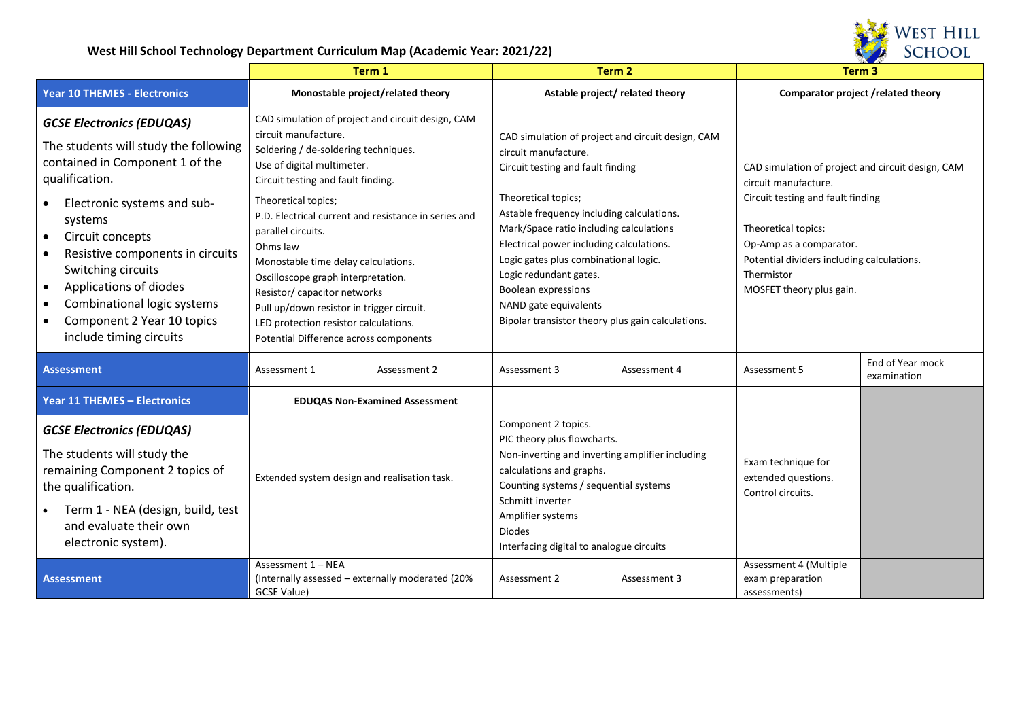

|                                                                                                                                                                                                                                                                                                                                                                                                                                                        | Term 1                                                                                                                                                                                                                                                                                                                                                                                                                                                                                                                                              |                                       | Term <sub>2</sub>                                                                                                                                                                                                                                                                                                                                                                                                                                 |              | Term <sub>3</sub>                                                                                                                                                                                                                                        |                                 |
|--------------------------------------------------------------------------------------------------------------------------------------------------------------------------------------------------------------------------------------------------------------------------------------------------------------------------------------------------------------------------------------------------------------------------------------------------------|-----------------------------------------------------------------------------------------------------------------------------------------------------------------------------------------------------------------------------------------------------------------------------------------------------------------------------------------------------------------------------------------------------------------------------------------------------------------------------------------------------------------------------------------------------|---------------------------------------|---------------------------------------------------------------------------------------------------------------------------------------------------------------------------------------------------------------------------------------------------------------------------------------------------------------------------------------------------------------------------------------------------------------------------------------------------|--------------|----------------------------------------------------------------------------------------------------------------------------------------------------------------------------------------------------------------------------------------------------------|---------------------------------|
| <b>Year 10 THEMES - Electronics</b>                                                                                                                                                                                                                                                                                                                                                                                                                    | Monostable project/related theory                                                                                                                                                                                                                                                                                                                                                                                                                                                                                                                   |                                       | Astable project/related theory                                                                                                                                                                                                                                                                                                                                                                                                                    |              | Comparator project / related theory                                                                                                                                                                                                                      |                                 |
| <b>GCSE Electronics (EDUQAS)</b><br>The students will study the following<br>contained in Component 1 of the<br>qualification.<br>Electronic systems and sub-<br>$\bullet$<br>systems<br>Circuit concepts<br>$\bullet$<br>Resistive components in circuits<br>$\bullet$<br>Switching circuits<br>Applications of diodes<br>$\bullet$<br>Combinational logic systems<br>$\bullet$<br>Component 2 Year 10 topics<br>$\bullet$<br>include timing circuits | CAD simulation of project and circuit design, CAM<br>circuit manufacture.<br>Soldering / de-soldering techniques.<br>Use of digital multimeter.<br>Circuit testing and fault finding.<br>Theoretical topics;<br>P.D. Electrical current and resistance in series and<br>parallel circuits.<br>Ohms law<br>Monostable time delay calculations.<br>Oscilloscope graph interpretation.<br>Resistor/ capacitor networks<br>Pull up/down resistor in trigger circuit.<br>LED protection resistor calculations.<br>Potential Difference across components |                                       | CAD simulation of project and circuit design, CAM<br>circuit manufacture.<br>Circuit testing and fault finding<br>Theoretical topics;<br>Astable frequency including calculations.<br>Mark/Space ratio including calculations<br>Electrical power including calculations.<br>Logic gates plus combinational logic.<br>Logic redundant gates.<br>Boolean expressions<br>NAND gate equivalents<br>Bipolar transistor theory plus gain calculations. |              | CAD simulation of project and circuit design, CAM<br>circuit manufacture.<br>Circuit testing and fault finding<br>Theoretical topics:<br>Op-Amp as a comparator.<br>Potential dividers including calculations.<br>Thermistor<br>MOSFET theory plus gain. |                                 |
| <b>Assessment</b>                                                                                                                                                                                                                                                                                                                                                                                                                                      | Assessment 1                                                                                                                                                                                                                                                                                                                                                                                                                                                                                                                                        | Assessment 2                          | Assessment 3                                                                                                                                                                                                                                                                                                                                                                                                                                      | Assessment 4 | Assessment 5                                                                                                                                                                                                                                             | End of Year mock<br>examination |
| <b>Year 11 THEMES - Electronics</b>                                                                                                                                                                                                                                                                                                                                                                                                                    |                                                                                                                                                                                                                                                                                                                                                                                                                                                                                                                                                     | <b>EDUQAS Non-Examined Assessment</b> |                                                                                                                                                                                                                                                                                                                                                                                                                                                   |              |                                                                                                                                                                                                                                                          |                                 |
| <b>GCSE Electronics (EDUQAS)</b><br>The students will study the<br>remaining Component 2 topics of<br>the qualification.<br>Term 1 - NEA (design, build, test<br>and evaluate their own<br>electronic system).                                                                                                                                                                                                                                         | Extended system design and realisation task.                                                                                                                                                                                                                                                                                                                                                                                                                                                                                                        |                                       | Component 2 topics.<br>PIC theory plus flowcharts.<br>Non-inverting and inverting amplifier including<br>calculations and graphs.<br>Counting systems / sequential systems<br>Schmitt inverter<br>Amplifier systems<br><b>Diodes</b><br>Interfacing digital to analogue circuits                                                                                                                                                                  |              | Exam technique for<br>extended questions.<br>Control circuits.                                                                                                                                                                                           |                                 |
| <b>Assessment</b>                                                                                                                                                                                                                                                                                                                                                                                                                                      | Assessment 1 - NEA<br>(Internally assessed - externally moderated (20%)<br>GCSE Value)                                                                                                                                                                                                                                                                                                                                                                                                                                                              |                                       | Assessment 2                                                                                                                                                                                                                                                                                                                                                                                                                                      | Assessment 3 | Assessment 4 (Multiple<br>exam preparation<br>assessments)                                                                                                                                                                                               |                                 |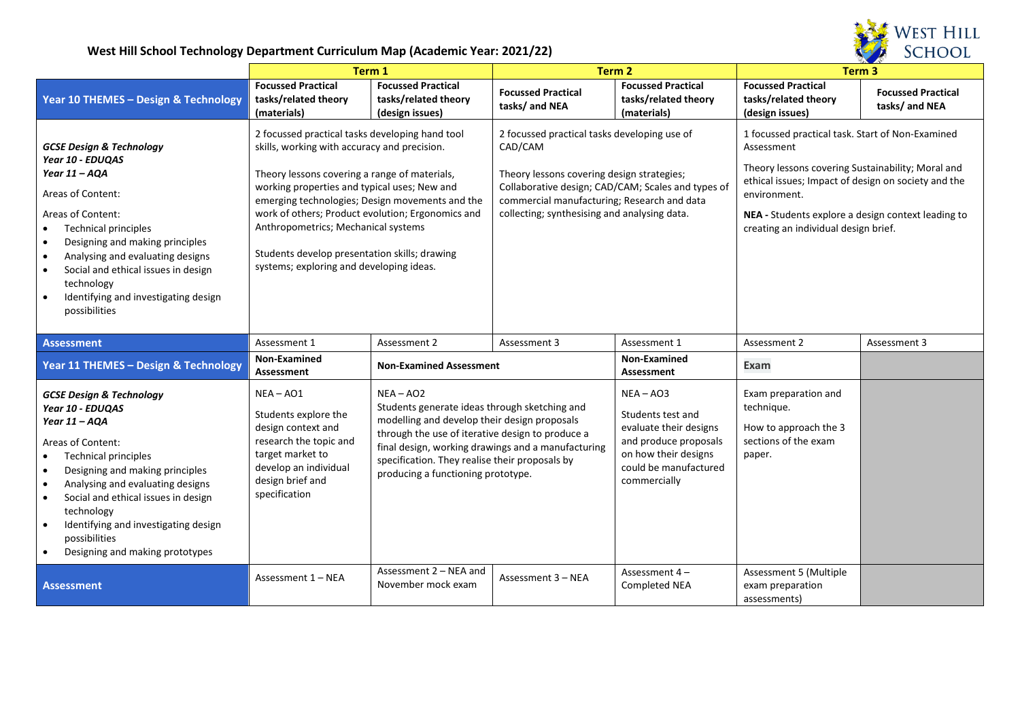

|                                                                                                                                                                                                                                                                                                                                                                                                                       |                                                                                                                                                                                                                                                                                                                                                                                                                                              | Term 1                                                                                                                                                                                                                                                                                                         |                                                                                                                                                                                                      | Term 2                                                                                                                                               |                                                                                                                                                                                                                                                                                          | Term <sub>3</sub>                           |  |
|-----------------------------------------------------------------------------------------------------------------------------------------------------------------------------------------------------------------------------------------------------------------------------------------------------------------------------------------------------------------------------------------------------------------------|----------------------------------------------------------------------------------------------------------------------------------------------------------------------------------------------------------------------------------------------------------------------------------------------------------------------------------------------------------------------------------------------------------------------------------------------|----------------------------------------------------------------------------------------------------------------------------------------------------------------------------------------------------------------------------------------------------------------------------------------------------------------|------------------------------------------------------------------------------------------------------------------------------------------------------------------------------------------------------|------------------------------------------------------------------------------------------------------------------------------------------------------|------------------------------------------------------------------------------------------------------------------------------------------------------------------------------------------------------------------------------------------------------------------------------------------|---------------------------------------------|--|
| Year 10 THEMES - Design & Technology                                                                                                                                                                                                                                                                                                                                                                                  | <b>Focussed Practical</b><br>tasks/related theory<br>(materials)                                                                                                                                                                                                                                                                                                                                                                             | <b>Focussed Practical</b><br>tasks/related theory<br>(design issues)                                                                                                                                                                                                                                           | <b>Focussed Practical</b><br>tasks/ and NEA                                                                                                                                                          | <b>Focussed Practical</b><br>tasks/related theory<br>(materials)                                                                                     | <b>Focussed Practical</b><br>tasks/related theory<br>(design issues)                                                                                                                                                                                                                     | <b>Focussed Practical</b><br>tasks/ and NEA |  |
| <b>GCSE Design &amp; Technology</b><br>Year 10 - EDUQAS<br>Year $11 - AQA$<br>Areas of Content:<br>Areas of Content:<br><b>Technical principles</b><br>Designing and making principles<br>$\bullet$<br>Analysing and evaluating designs<br>$\bullet$<br>Social and ethical issues in design<br>$\bullet$<br>technology<br>Identifying and investigating design<br>$\bullet$<br>possibilities                          | 2 focussed practical tasks developing hand tool<br>skills, working with accuracy and precision.<br>Theory lessons covering a range of materials,<br>working properties and typical uses; New and<br>emerging technologies; Design movements and the<br>work of others; Product evolution; Ergonomics and<br>Anthropometrics; Mechanical systems<br>Students develop presentation skills; drawing<br>systems; exploring and developing ideas. |                                                                                                                                                                                                                                                                                                                | 2 focussed practical tasks developing use of<br>CAD/CAM<br>Theory lessons covering design strategies;<br>commercial manufacturing; Research and data<br>collecting; synthesising and analysing data. | Collaborative design; CAD/CAM; Scales and types of                                                                                                   | 1 focussed practical task. Start of Non-Examined<br>Assessment<br>Theory lessons covering Sustainability; Moral and<br>ethical issues; Impact of design on society and the<br>environment.<br>NEA - Students explore a design context leading to<br>creating an individual design brief. |                                             |  |
| <b>Assessment</b>                                                                                                                                                                                                                                                                                                                                                                                                     | Assessment 1                                                                                                                                                                                                                                                                                                                                                                                                                                 | Assessment 2                                                                                                                                                                                                                                                                                                   | Assessment 3                                                                                                                                                                                         | Assessment 1                                                                                                                                         | Assessment 2                                                                                                                                                                                                                                                                             | Assessment 3                                |  |
| Year 11 THEMES - Design & Technology                                                                                                                                                                                                                                                                                                                                                                                  | Non-Examined<br><b>Assessment</b>                                                                                                                                                                                                                                                                                                                                                                                                            | <b>Non-Examined Assessment</b>                                                                                                                                                                                                                                                                                 |                                                                                                                                                                                                      | Non-Examined<br>Assessment                                                                                                                           | <b>Exam</b>                                                                                                                                                                                                                                                                              |                                             |  |
| <b>GCSE Design &amp; Technology</b><br>Year 10 - EDUQAS<br>Year 11 - AQA<br>Areas of Content:<br><b>Technical principles</b><br>Designing and making principles<br>$\bullet$<br>Analysing and evaluating designs<br>$\bullet$<br>Social and ethical issues in design<br>$\bullet$<br>technology<br>Identifying and investigating design<br>$\bullet$<br>possibilities<br>Designing and making prototypes<br>$\bullet$ | $NEA - AO1$<br>Students explore the<br>design context and<br>research the topic and<br>target market to<br>develop an individual<br>design brief and<br>specification                                                                                                                                                                                                                                                                        | $NEA - AO2$<br>Students generate ideas through sketching and<br>modelling and develop their design proposals<br>through the use of iterative design to produce a<br>final design, working drawings and a manufacturing<br>specification. They realise their proposals by<br>producing a functioning prototype. |                                                                                                                                                                                                      | $NEA - AO3$<br>Students test and<br>evaluate their designs<br>and produce proposals<br>on how their designs<br>could be manufactured<br>commercially | Exam preparation and<br>technique.<br>How to approach the 3<br>sections of the exam<br>paper.                                                                                                                                                                                            |                                             |  |
| <b>Assessment</b>                                                                                                                                                                                                                                                                                                                                                                                                     | Assessment 1 - NEA                                                                                                                                                                                                                                                                                                                                                                                                                           | Assessment 2 - NEA and<br>November mock exam                                                                                                                                                                                                                                                                   | Assessment 3 - NEA                                                                                                                                                                                   | Assessment 4-<br>Completed NEA                                                                                                                       | Assessment 5 (Multiple<br>exam preparation<br>assessments)                                                                                                                                                                                                                               |                                             |  |